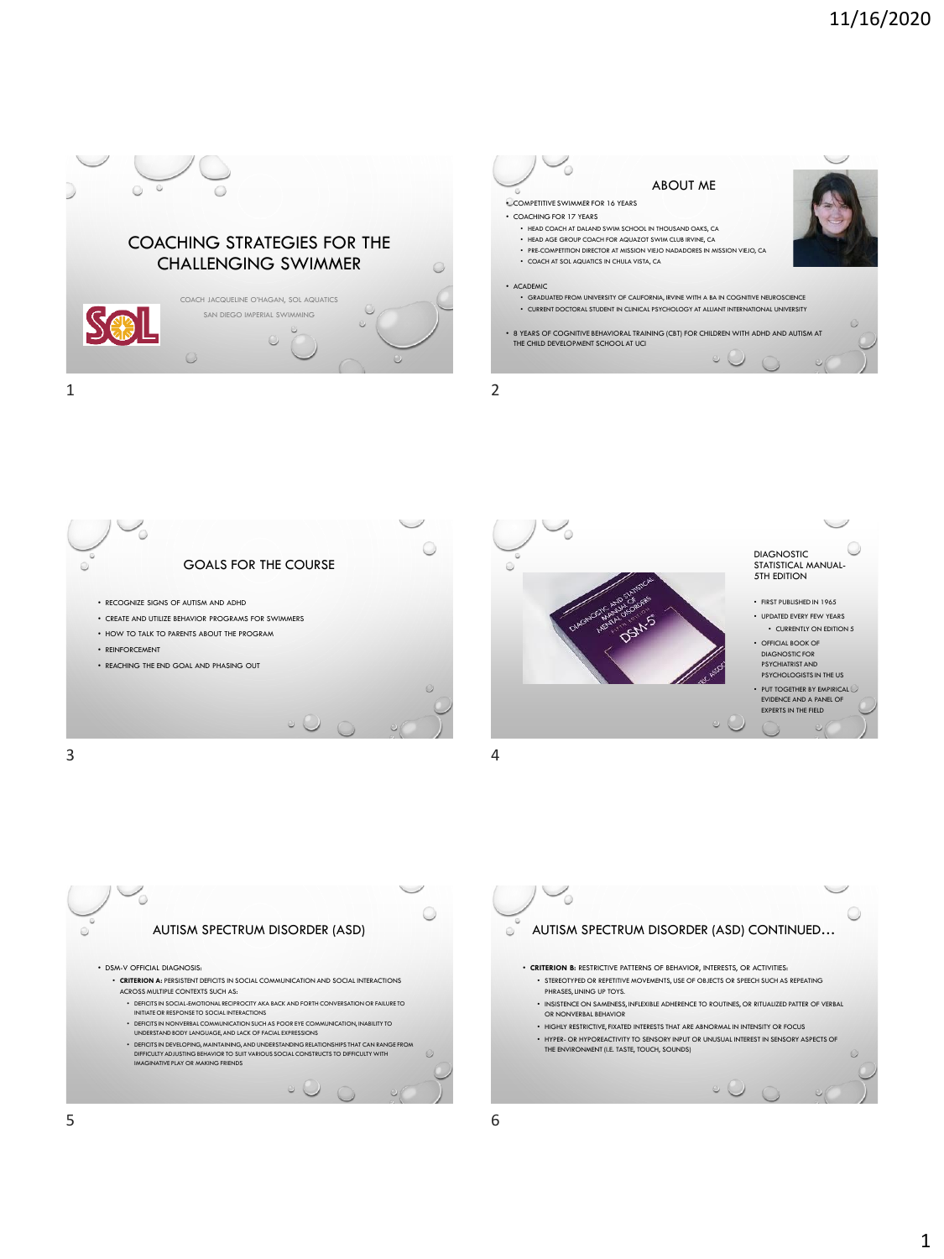









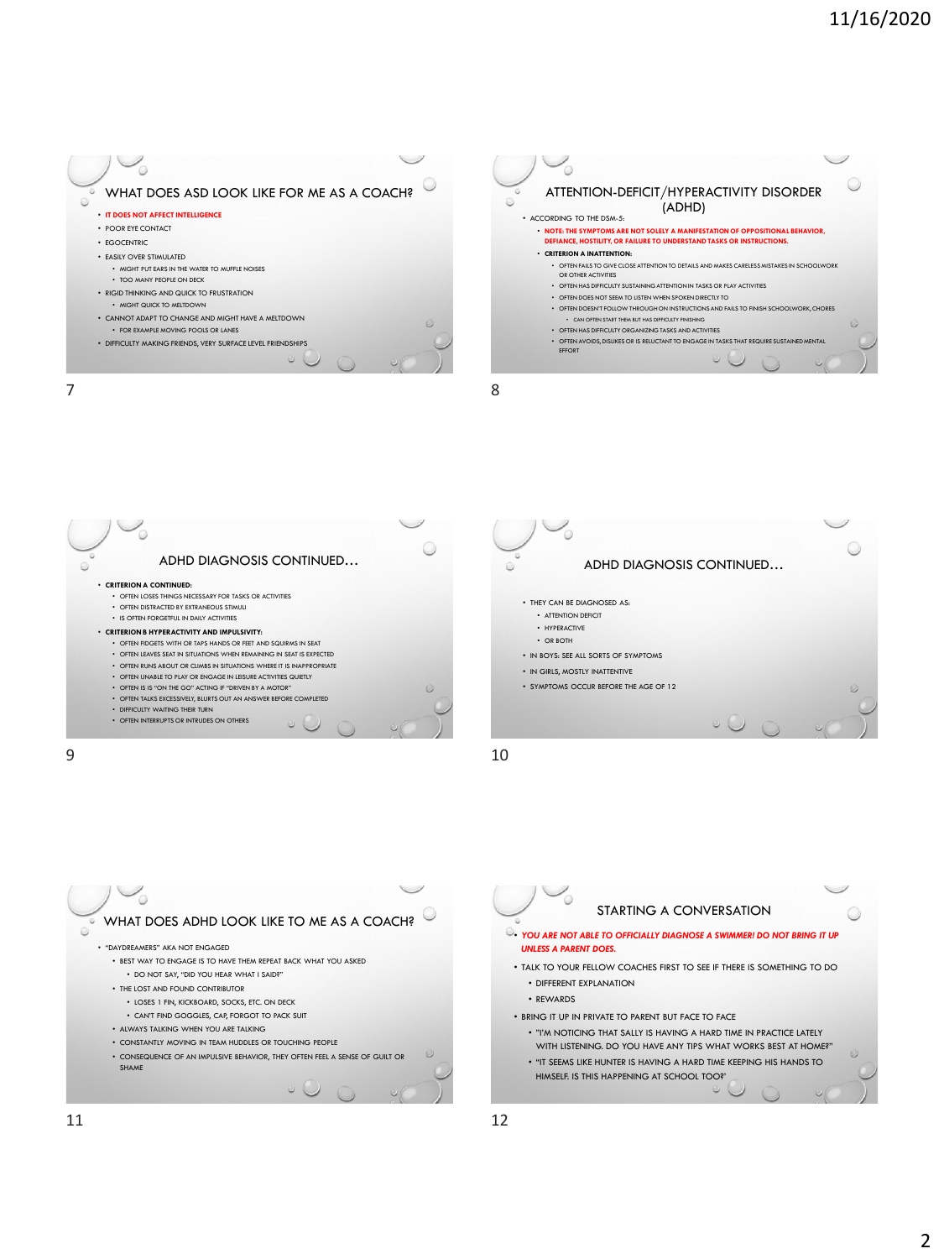











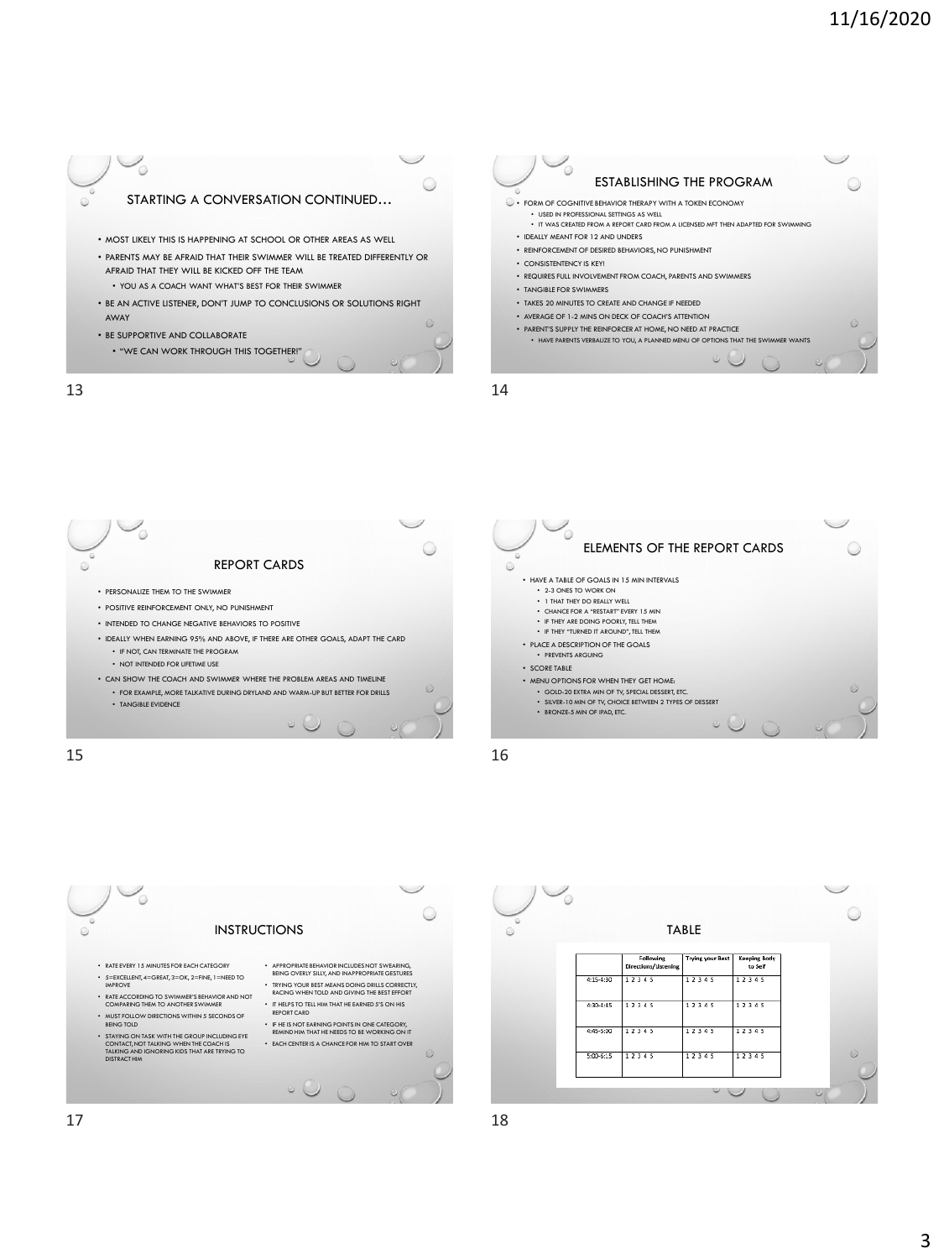

13 14









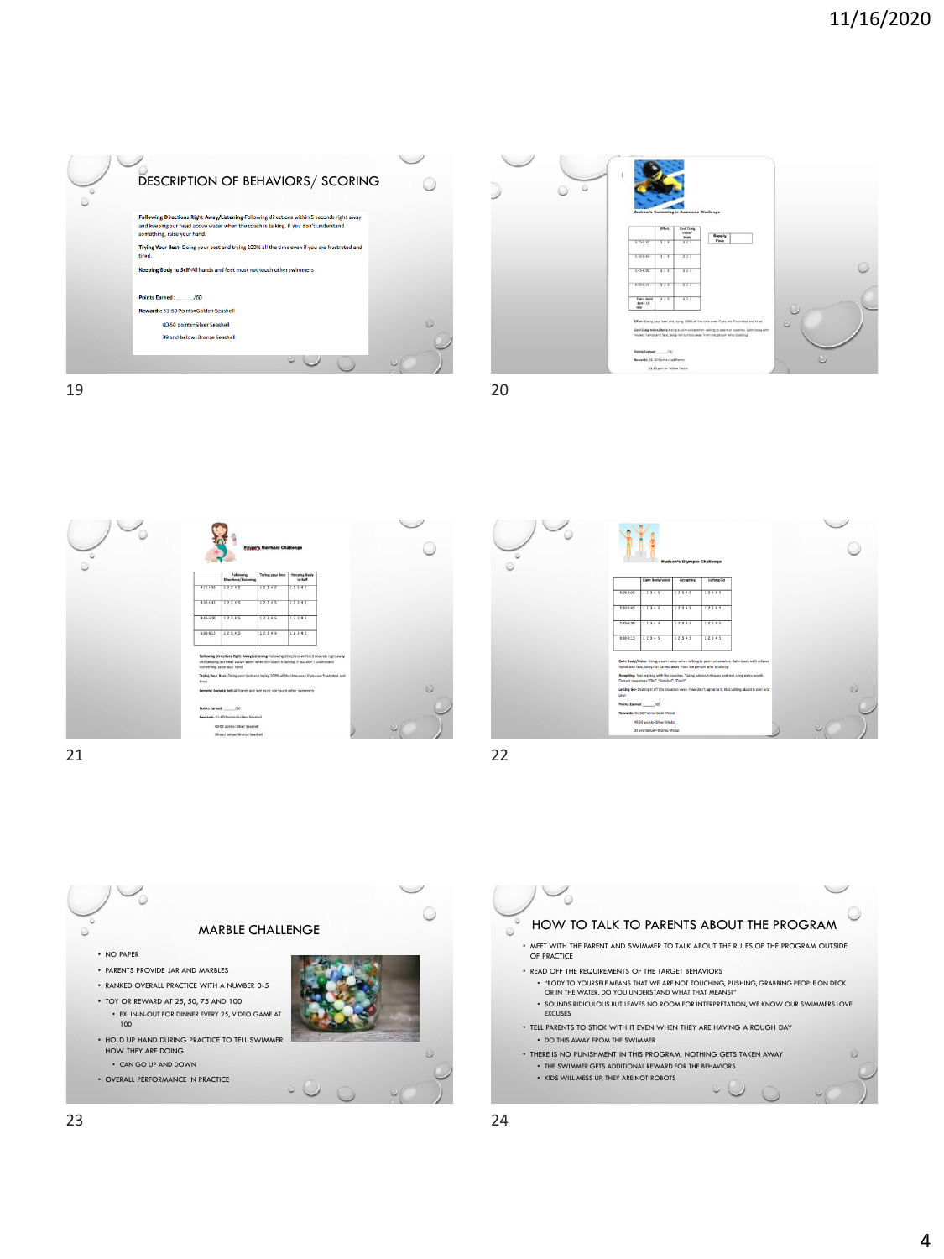









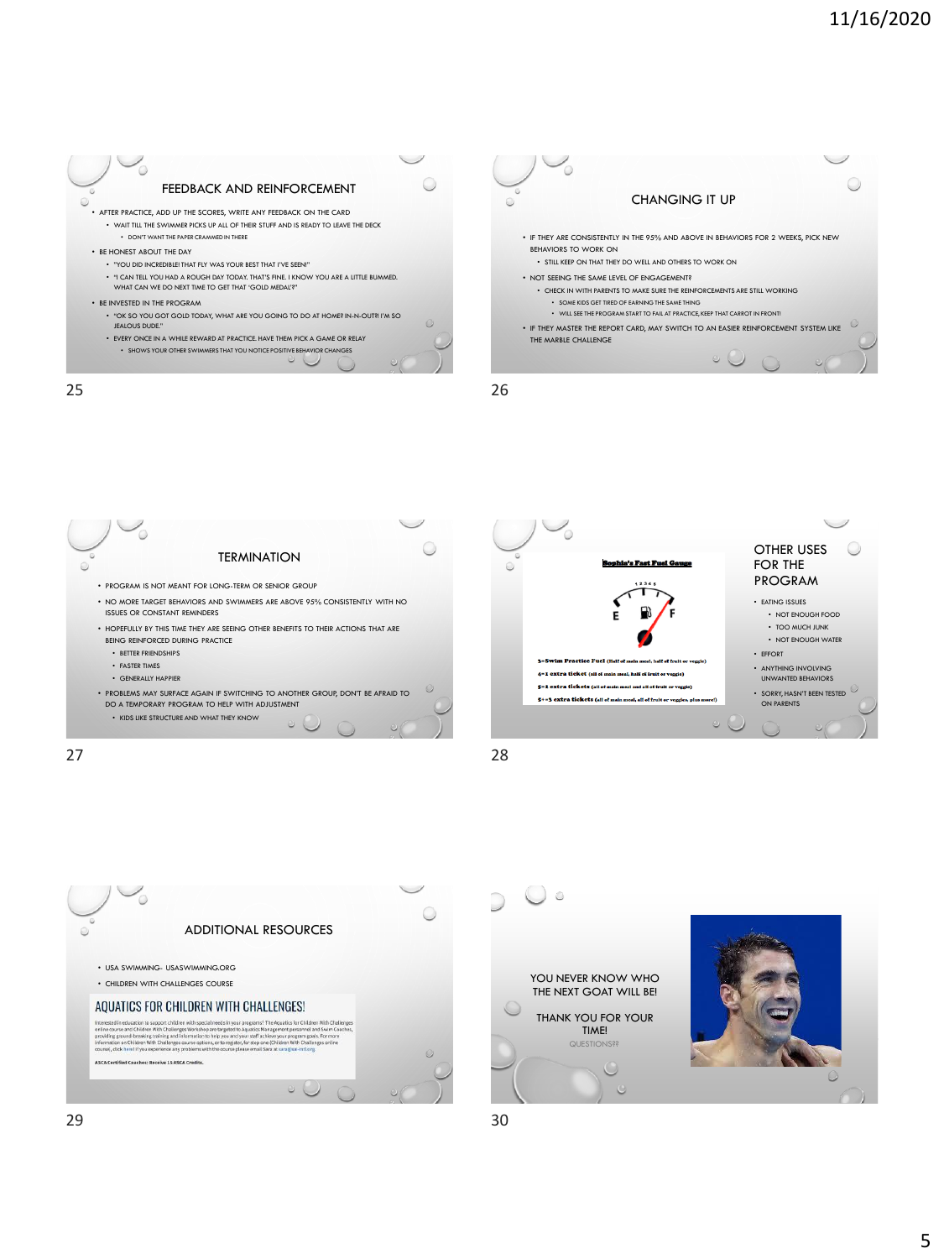







27 28